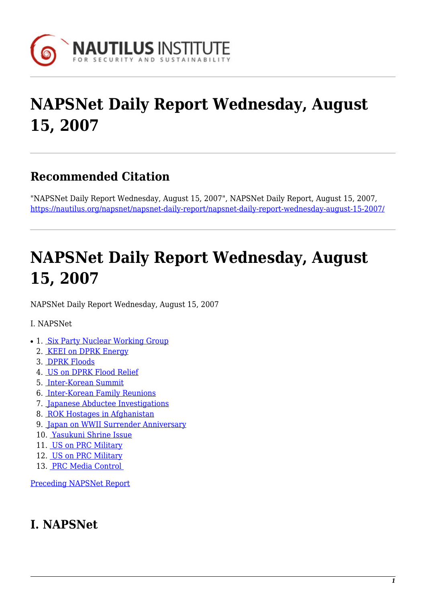

# **NAPSNet Daily Report Wednesday, August 15, 2007**

### **Recommended Citation**

"NAPSNet Daily Report Wednesday, August 15, 2007", NAPSNet Daily Report, August 15, 2007, <https://nautilus.org/napsnet/napsnet-daily-report/napsnet-daily-report-wednesday-august-15-2007/>

# **NAPSNet Daily Report Wednesday, August 15, 2007**

<span id="page-0-1"></span>NAPSNet Daily Report Wednesday, August 15, 2007

I. NAPSNet

- 1. [Six Party Nuclear Working Group](#page-0-0)
	- 2. [KEEI on DPRK Energy](#page-1-0)
	- 3. [DPRK Floods](#page-1-1)
	- 4. [US on DPRK Flood Relief](#page-1-2)
	- 5. [Inter-Korean Summit](#page-1-3)
	- 6. [Inter-Korean Family Reunions](#page-2-0)
	- 7. [Japanese Abductee Investigations](#page-2-1)
	- 8. [ROK Hostages in Afghanistan](#page-2-2)
	- 9. [Japan on WWII Surrender Anniversary](#page-2-3)
	- 10. [Yasukuni Shrine Issue](#page-3-0)
	- 11. [US on PRC Military](#page-3-1)
	- 12. [US on PRC Military](#page-3-2)
	- 13. [PRC Media Control](#page-3-3)

[Preceding NAPSNet Report](https://nautilus.org/mailing-lists/napsnet/dr/2007-2/napsnet-daily-report-tuesday-august-14-2007/)

## <span id="page-0-0"></span>**I. NAPSNet**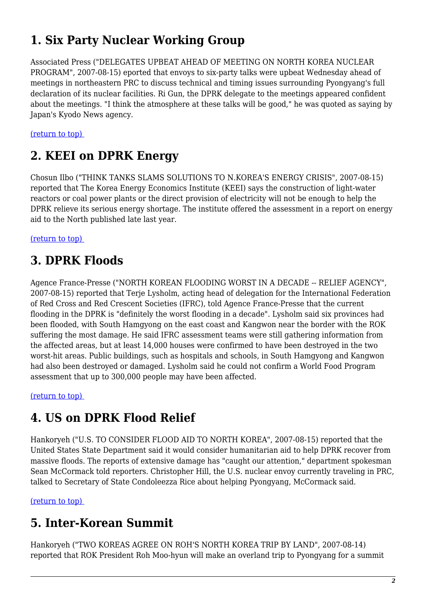# **1. Six Party Nuclear Working Group**

Associated Press ("DELEGATES UPBEAT AHEAD OF MEETING ON NORTH KOREA NUCLEAR PROGRAM", 2007-08-15) eported that envoys to six-party talks were upbeat Wednesday ahead of meetings in northeastern PRC to discuss technical and timing issues surrounding Pyongyang's full declaration of its nuclear facilities. Ri Gun, the DPRK delegate to the meetings appeared confident about the meetings. "I think the atmosphere at these talks will be good," he was quoted as saying by Japan's Kyodo News agency.

<span id="page-1-0"></span>[\(return to top\)](#page-0-1) 

#### **2. KEEI on DPRK Energy**

Chosun Ilbo ("THINK TANKS SLAMS SOLUTIONS TO N.KOREA'S ENERGY CRISIS", 2007-08-15) reported that The Korea Energy Economics Institute (KEEI) says the construction of light-water reactors or coal power plants or the direct provision of electricity will not be enough to help the DPRK relieve its serious energy shortage. The institute offered the assessment in a report on energy aid to the North published late last year.

<span id="page-1-1"></span>[\(return to top\)](#page-0-1) 

## **3. DPRK Floods**

Agence France-Presse ("NORTH KOREAN FLOODING WORST IN A DECADE -- RELIEF AGENCY", 2007-08-15) reported that Terje Lysholm, acting head of delegation for the International Federation of Red Cross and Red Crescent Societies (IFRC), told Agence France-Presse that the current flooding in the DPRK is "definitely the worst flooding in a decade". Lysholm said six provinces had been flooded, with South Hamgyong on the east coast and Kangwon near the border with the ROK suffering the most damage. He said IFRC assessment teams were still gathering information from the affected areas, but at least 14,000 houses were confirmed to have been destroyed in the two worst-hit areas. Public buildings, such as hospitals and schools, in South Hamgyong and Kangwon had also been destroyed or damaged. Lysholm said he could not confirm a World Food Program assessment that up to 300,000 people may have been affected.

<span id="page-1-2"></span>[\(return to top\)](#page-0-1) 

### **4. US on DPRK Flood Relief**

Hankoryeh ("U.S. TO CONSIDER FLOOD AID TO NORTH KOREA", 2007-08-15) reported that the United States State Department said it would consider humanitarian aid to help DPRK recover from massive floods. The reports of extensive damage has "caught our attention," department spokesman Sean McCormack told reporters. Christopher Hill, the U.S. nuclear envoy currently traveling in PRC, talked to Secretary of State Condoleezza Rice about helping Pyongyang, McCormack said.

<span id="page-1-3"></span>[\(return to top\)](#page-0-1) 

# **5. Inter-Korean Summit**

Hankoryeh ("TWO KOREAS AGREE ON ROH'S NORTH KOREA TRIP BY LAND", 2007-08-14) reported that ROK President Roh Moo-hyun will make an overland trip to Pyongyang for a summit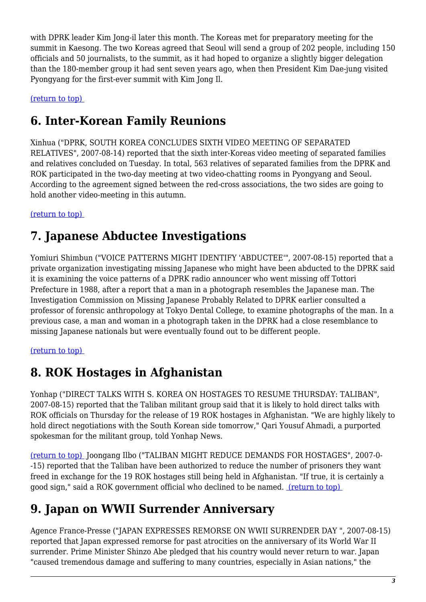with DPRK leader Kim Jong-il later this month. The Koreas met for preparatory meeting for the summit in Kaesong. The two Koreas agreed that Seoul will send a group of 202 people, including 150 officials and 50 journalists, to the summit, as it had hoped to organize a slightly bigger delegation than the 180-member group it had sent seven years ago, when then President Kim Dae-jung visited Pyongyang for the first-ever summit with Kim Jong Il.

#### <span id="page-2-0"></span>[\(return to top\)](#page-0-1)

### **6. Inter-Korean Family Reunions**

Xinhua ("DPRK, SOUTH KOREA CONCLUDES SIXTH VIDEO MEETING OF SEPARATED RELATIVES", 2007-08-14) reported that the sixth inter-Koreas video meeting of separated families and relatives concluded on Tuesday. In total, 563 relatives of separated families from the DPRK and ROK participated in the two-day meeting at two video-chatting rooms in Pyongyang and Seoul. According to the agreement signed between the red-cross associations, the two sides are going to hold another video-meeting in this autumn.

#### <span id="page-2-1"></span>[\(return to top\)](#page-0-1)

### **7. Japanese Abductee Investigations**

Yomiuri Shimbun ("VOICE PATTERNS MIGHT IDENTIFY 'ABDUCTEE'", 2007-08-15) reported that a private organization investigating missing Japanese who might have been abducted to the DPRK said it is examining the voice patterns of a DPRK radio announcer who went missing off Tottori Prefecture in 1988, after a report that a man in a photograph resembles the Japanese man. The Investigation Commission on Missing Japanese Probably Related to DPRK earlier consulted a professor of forensic anthropology at Tokyo Dental College, to examine photographs of the man. In a previous case, a man and woman in a photograph taken in the DPRK had a close resemblance to missing Japanese nationals but were eventually found out to be different people.

#### <span id="page-2-2"></span>[\(return to top\)](#page-0-1)

## **8. ROK Hostages in Afghanistan**

Yonhap ("DIRECT TALKS WITH S. KOREA ON HOSTAGES TO RESUME THURSDAY: TALIBAN", 2007-08-15) reported that the Taliban militant group said that it is likely to hold direct talks with ROK officials on Thursday for the release of 19 ROK hostages in Afghanistan. "We are highly likely to hold direct negotiations with the South Korean side tomorrow," Qari Yousuf Ahmadi, a purported spokesman for the militant group, told Yonhap News.

[\(return to top\)](#page-0-1) Joongang Ilbo ("TALIBAN MIGHT REDUCE DEMANDS FOR HOSTAGES", 2007-0- -15) reported that the Taliban have been authorized to reduce the number of prisoners they want freed in exchange for the 19 ROK hostages still being held in Afghanistan. "If true, it is certainly a good sign," said a ROK government official who declined to be named. [\(return to top\)](#page-0-1) 

## <span id="page-2-3"></span>**9. Japan on WWII Surrender Anniversary**

Agence France-Presse ("JAPAN EXPRESSES REMORSE ON WWII SURRENDER DAY ", 2007-08-15) reported that Japan expressed remorse for past atrocities on the anniversary of its World War II surrender. Prime Minister Shinzo Abe pledged that his country would never return to war. Japan "caused tremendous damage and suffering to many countries, especially in Asian nations," the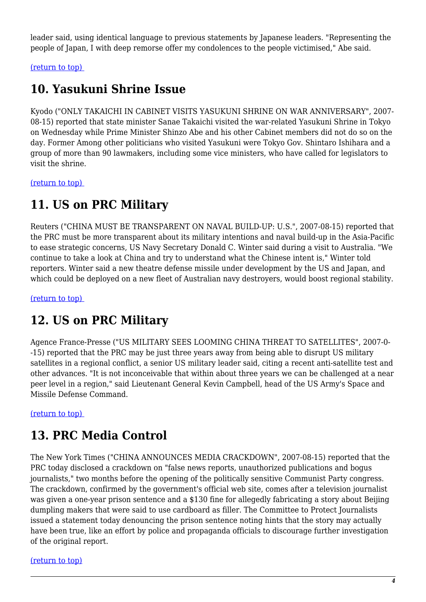leader said, using identical language to previous statements by Japanese leaders. "Representing the people of Japan, I with deep remorse offer my condolences to the people victimised," Abe said.

<span id="page-3-0"></span>[\(return to top\)](#page-0-1) 

#### **10. Yasukuni Shrine Issue**

Kyodo ("ONLY TAKAICHI IN CABINET VISITS YASUKUNI SHRINE ON WAR ANNIVERSARY", 2007- 08-15) reported that state minister Sanae Takaichi visited the war-related Yasukuni Shrine in Tokyo on Wednesday while Prime Minister Shinzo Abe and his other Cabinet members did not do so on the day. Former Among other politicians who visited Yasukuni were Tokyo Gov. Shintaro Ishihara and a group of more than 90 lawmakers, including some vice ministers, who have called for legislators to visit the shrine.

<span id="page-3-1"></span>[\(return to top\)](#page-0-1) 

#### **11. US on PRC Military**

Reuters ("CHINA MUST BE TRANSPARENT ON NAVAL BUILD-UP: U.S.", 2007-08-15) reported that the PRC must be more transparent about its military intentions and naval build-up in the Asia-Pacific to ease strategic concerns, US Navy Secretary Donald C. Winter said during a visit to Australia. "We continue to take a look at China and try to understand what the Chinese intent is," Winter told reporters. Winter said a new theatre defense missile under development by the US and Japan, and which could be deployed on a new fleet of Australian navy destroyers, would boost regional stability.

<span id="page-3-2"></span>[\(return to top\)](#page-0-1) 

#### **12. US on PRC Military**

Agence France-Presse ("US MILITARY SEES LOOMING CHINA THREAT TO SATELLITES", 2007-0- -15) reported that the PRC may be just three years away from being able to disrupt US military satellites in a regional conflict, a senior US military leader said, citing a recent anti-satellite test and other advances. "It is not inconceivable that within about three years we can be challenged at a near peer level in a region," said Lieutenant General Kevin Campbell, head of the US Army's Space and Missile Defense Command.

<span id="page-3-3"></span>[\(return to top\)](#page-0-1) 

### **13. PRC Media Control**

The New York Times ("CHINA ANNOUNCES MEDIA CRACKDOWN", 2007-08-15) reported that the PRC today disclosed a crackdown on "false news reports, unauthorized publications and bogus journalists," two months before the opening of the politically sensitive Communist Party congress. The crackdown, confirmed by the government's official web site, comes after a television journalist was given a one-year prison sentence and a \$130 fine for allegedly fabricating a story about Beijing dumpling makers that were said to use cardboard as filler. The Committee to Protect Journalists issued a statement today denouncing the prison sentence noting hints that the story may actually have been true, like an effort by police and propaganda officials to discourage further investigation of the original report.

[\(return to top\)](#page-0-1)